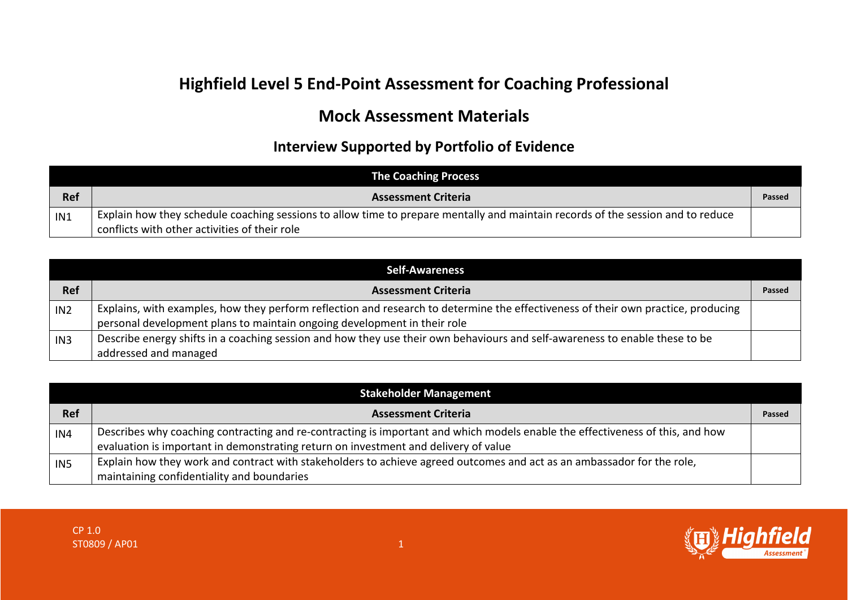## **Highfield Level 5 End-Point Assessment for Coaching Professional**

## **Mock Assessment Materials**

## **Interview Supported by Portfolio of Evidence**

|            | <b>The Coaching Process</b>                                                                                                     |        |
|------------|---------------------------------------------------------------------------------------------------------------------------------|--------|
| <b>Ref</b> | <b>Assessment Criteria</b>                                                                                                      | Passed |
| IN1        | Explain how they schedule coaching sessions to allow time to prepare mentally and maintain records of the session and to reduce |        |
|            | conflicts with other activities of their role                                                                                   |        |

| <b>Self-Awareness</b> |                                                                                                                                   |        |
|-----------------------|-----------------------------------------------------------------------------------------------------------------------------------|--------|
| <b>Ref</b>            | <b>Assessment Criteria</b>                                                                                                        | Passed |
| IN <sub>2</sub>       | Explains, with examples, how they perform reflection and research to determine the effectiveness of their own practice, producing |        |
|                       | personal development plans to maintain ongoing development in their role                                                          |        |
| IN <sub>3</sub>       | Describe energy shifts in a coaching session and how they use their own behaviours and self-awareness to enable these to be       |        |
|                       | addressed and managed                                                                                                             |        |

| <b>Stakeholder Management</b> |                                                                                                                               |        |
|-------------------------------|-------------------------------------------------------------------------------------------------------------------------------|--------|
| <b>Ref</b>                    | <b>Assessment Criteria</b>                                                                                                    | Passed |
| IN4                           | Describes why coaching contracting and re-contracting is important and which models enable the effectiveness of this, and how |        |
|                               | evaluation is important in demonstrating return on investment and delivery of value                                           |        |
| IN5                           | Explain how they work and contract with stakeholders to achieve agreed outcomes and act as an ambassador for the role,        |        |
|                               | maintaining confidentiality and boundaries                                                                                    |        |